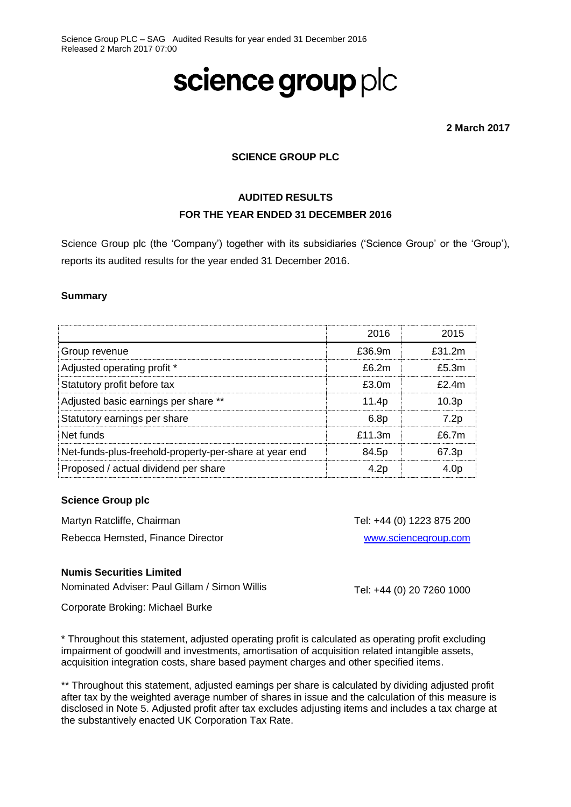# science group plc

**2 March 2017**

# **SCIENCE GROUP PLC**

# **AUDITED RESULTS FOR THE YEAR ENDED 31 DECEMBER 2016**

Science Group plc (the 'Company') together with its subsidiaries ('Science Group' or the 'Group'), reports its audited results for the year ended 31 December 2016.

#### **Summary**

|                                                        | 2016              | 2015              |
|--------------------------------------------------------|-------------------|-------------------|
| Group revenue                                          | f36.9m            | f312m             |
| Adjusted operating profit *                            | f62m              | f5.3m             |
| Statutory profit before tax                            | f30m              | $f$ 24m           |
| Adjusted basic earnings per share **                   | 11.4 <sub>D</sub> | 10.3 <sub>p</sub> |
| Statutory earnings per share                           | 6.8 <sub>p</sub>  | 7.2p              |
| Net funds                                              | $f$ 11 3m         | f67m              |
| Net-funds-plus-freehold-property-per-share at year end | 84.5p             | 67.3p             |
| Proposed / actual dividend per share                   | 4.2 <sub>D</sub>  | 4.0 <sub>D</sub>  |
|                                                        |                   |                   |

#### **Science Group plc**

Martyn Ratcliffe, Chairman Rebecca Hemsted, Finance Director

#### **Numis Securities Limited**

Nominated Adviser: Paul Gillam / Simon Willis

Tel: +44 (0) 20 7260 1000

Tel: +44 (0) 1223 875 200

[www.sciencegroup.com](http://www.sciencegroup.com/)

Corporate Broking: Michael Burke

\* Throughout this statement, adjusted operating profit is calculated as operating profit excluding impairment of goodwill and investments, amortisation of acquisition related intangible assets, acquisition integration costs, share based payment charges and other specified items.

\*\* Throughout this statement, adjusted earnings per share is calculated by dividing adjusted profit after tax by the weighted average number of shares in issue and the calculation of this measure is disclosed in Note 5. Adjusted profit after tax excludes adjusting items and includes a tax charge at the substantively enacted UK Corporation Tax Rate.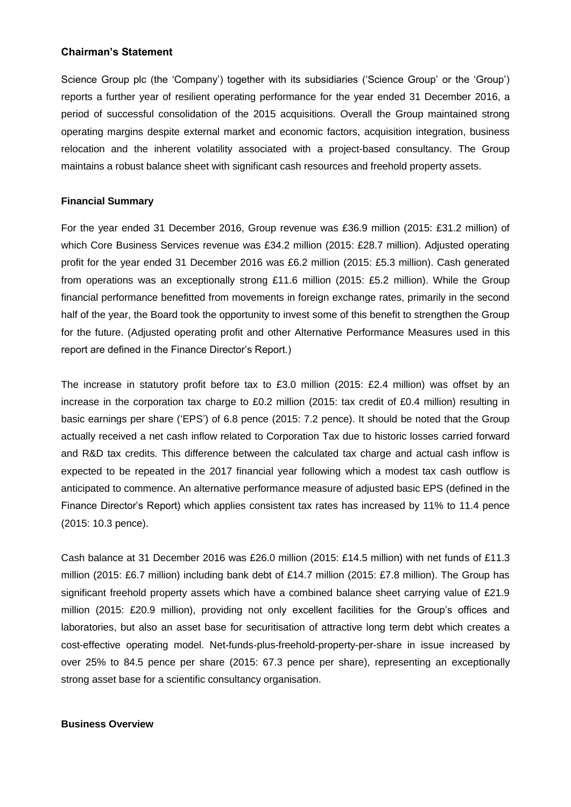#### **Chairman's Statement**

Science Group plc (the 'Company') together with its subsidiaries ('Science Group' or the 'Group') reports a further year of resilient operating performance for the year ended 31 December 2016, a period of successful consolidation of the 2015 acquisitions. Overall the Group maintained strong operating margins despite external market and economic factors, acquisition integration, business relocation and the inherent volatility associated with a project-based consultancy. The Group maintains a robust balance sheet with significant cash resources and freehold property assets.

#### **Financial Summary**

For the year ended 31 December 2016, Group revenue was £36.9 million (2015: £31.2 million) of which Core Business Services revenue was £34.2 million (2015: £28.7 million). Adjusted operating profit for the year ended 31 December 2016 was £6.2 million (2015: £5.3 million). Cash generated from operations was an exceptionally strong £11.6 million (2015: £5.2 million). While the Group financial performance benefitted from movements in foreign exchange rates, primarily in the second half of the year, the Board took the opportunity to invest some of this benefit to strengthen the Group for the future. (Adjusted operating profit and other Alternative Performance Measures used in this report are defined in the Finance Director's Report.)

The increase in statutory profit before tax to £3.0 million (2015: £2.4 million) was offset by an increase in the corporation tax charge to £0.2 million (2015: tax credit of £0.4 million) resulting in basic earnings per share ('EPS') of 6.8 pence (2015: 7.2 pence). It should be noted that the Group actually received a net cash inflow related to Corporation Tax due to historic losses carried forward and R&D tax credits. This difference between the calculated tax charge and actual cash inflow is expected to be repeated in the 2017 financial year following which a modest tax cash outflow is anticipated to commence. An alternative performance measure of adjusted basic EPS (defined in the Finance Director's Report) which applies consistent tax rates has increased by 11% to 11.4 pence (2015: 10.3 pence).

Cash balance at 31 December 2016 was £26.0 million (2015: £14.5 million) with net funds of £11.3 million (2015: £6.7 million) including bank debt of £14.7 million (2015: £7.8 million). The Group has significant freehold property assets which have a combined balance sheet carrying value of £21.9 million (2015: £20.9 million), providing not only excellent facilities for the Group's offices and laboratories, but also an asset base for securitisation of attractive long term debt which creates a cost-effective operating model. Net-funds-plus-freehold-property-per-share in issue increased by over 25% to 84.5 pence per share (2015: 67.3 pence per share), representing an exceptionally strong asset base for a scientific consultancy organisation.

#### **Business Overview**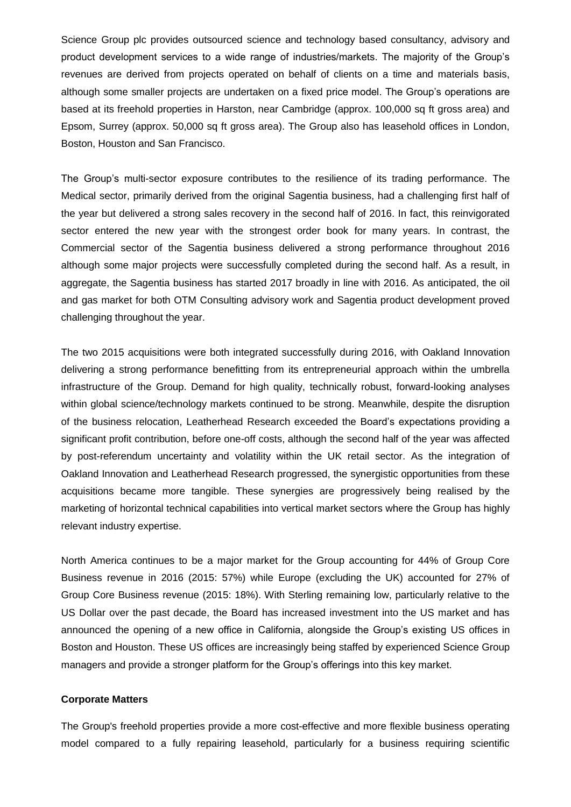Science Group plc provides outsourced science and technology based consultancy, advisory and product development services to a wide range of industries/markets. The majority of the Group's revenues are derived from projects operated on behalf of clients on a time and materials basis, although some smaller projects are undertaken on a fixed price model. The Group's operations are based at its freehold properties in Harston, near Cambridge (approx. 100,000 sq ft gross area) and Epsom, Surrey (approx. 50,000 sq ft gross area). The Group also has leasehold offices in London, Boston, Houston and San Francisco.

The Group's multi-sector exposure contributes to the resilience of its trading performance. The Medical sector, primarily derived from the original Sagentia business, had a challenging first half of the year but delivered a strong sales recovery in the second half of 2016. In fact, this reinvigorated sector entered the new year with the strongest order book for many years. In contrast, the Commercial sector of the Sagentia business delivered a strong performance throughout 2016 although some major projects were successfully completed during the second half. As a result, in aggregate, the Sagentia business has started 2017 broadly in line with 2016. As anticipated, the oil and gas market for both OTM Consulting advisory work and Sagentia product development proved challenging throughout the year.

The two 2015 acquisitions were both integrated successfully during 2016, with Oakland Innovation delivering a strong performance benefitting from its entrepreneurial approach within the umbrella infrastructure of the Group. Demand for high quality, technically robust, forward-looking analyses within global science/technology markets continued to be strong. Meanwhile, despite the disruption of the business relocation, Leatherhead Research exceeded the Board's expectations providing a significant profit contribution, before one-off costs, although the second half of the year was affected by post-referendum uncertainty and volatility within the UK retail sector. As the integration of Oakland Innovation and Leatherhead Research progressed, the synergistic opportunities from these acquisitions became more tangible. These synergies are progressively being realised by the marketing of horizontal technical capabilities into vertical market sectors where the Group has highly relevant industry expertise.

North America continues to be a major market for the Group accounting for 44% of Group Core Business revenue in 2016 (2015: 57%) while Europe (excluding the UK) accounted for 27% of Group Core Business revenue (2015: 18%). With Sterling remaining low, particularly relative to the US Dollar over the past decade, the Board has increased investment into the US market and has announced the opening of a new office in California, alongside the Group's existing US offices in Boston and Houston. These US offices are increasingly being staffed by experienced Science Group managers and provide a stronger platform for the Group's offerings into this key market.

#### **Corporate Matters**

The Group's freehold properties provide a more cost-effective and more flexible business operating model compared to a fully repairing leasehold, particularly for a business requiring scientific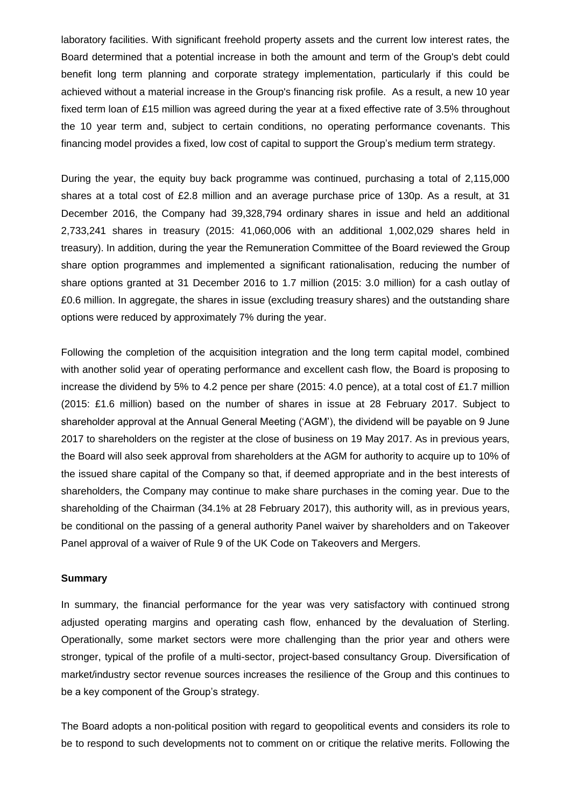laboratory facilities. With significant freehold property assets and the current low interest rates, the Board determined that a potential increase in both the amount and term of the Group's debt could benefit long term planning and corporate strategy implementation, particularly if this could be achieved without a material increase in the Group's financing risk profile. As a result, a new 10 year fixed term loan of £15 million was agreed during the year at a fixed effective rate of 3.5% throughout the 10 year term and, subject to certain conditions, no operating performance covenants. This financing model provides a fixed, low cost of capital to support the Group's medium term strategy.

During the year, the equity buy back programme was continued, purchasing a total of 2,115,000 shares at a total cost of £2.8 million and an average purchase price of 130p. As a result, at 31 December 2016, the Company had 39,328,794 ordinary shares in issue and held an additional 2,733,241 shares in treasury (2015: 41,060,006 with an additional 1,002,029 shares held in treasury). In addition, during the year the Remuneration Committee of the Board reviewed the Group share option programmes and implemented a significant rationalisation, reducing the number of share options granted at 31 December 2016 to 1.7 million (2015: 3.0 million) for a cash outlay of £0.6 million. In aggregate, the shares in issue (excluding treasury shares) and the outstanding share options were reduced by approximately 7% during the year.

Following the completion of the acquisition integration and the long term capital model, combined with another solid year of operating performance and excellent cash flow, the Board is proposing to increase the dividend by 5% to 4.2 pence per share (2015: 4.0 pence), at a total cost of £1.7 million (2015: £1.6 million) based on the number of shares in issue at 28 February 2017. Subject to shareholder approval at the Annual General Meeting ('AGM'), the dividend will be payable on 9 June 2017 to shareholders on the register at the close of business on 19 May 2017. As in previous years, the Board will also seek approval from shareholders at the AGM for authority to acquire up to 10% of the issued share capital of the Company so that, if deemed appropriate and in the best interests of shareholders, the Company may continue to make share purchases in the coming year. Due to the shareholding of the Chairman (34.1% at 28 February 2017), this authority will, as in previous years, be conditional on the passing of a general authority Panel waiver by shareholders and on Takeover Panel approval of a waiver of Rule 9 of the UK Code on Takeovers and Mergers.

#### **Summary**

In summary, the financial performance for the year was very satisfactory with continued strong adjusted operating margins and operating cash flow, enhanced by the devaluation of Sterling. Operationally, some market sectors were more challenging than the prior year and others were stronger, typical of the profile of a multi-sector, project-based consultancy Group. Diversification of market/industry sector revenue sources increases the resilience of the Group and this continues to be a key component of the Group's strategy.

The Board adopts a non-political position with regard to geopolitical events and considers its role to be to respond to such developments not to comment on or critique the relative merits. Following the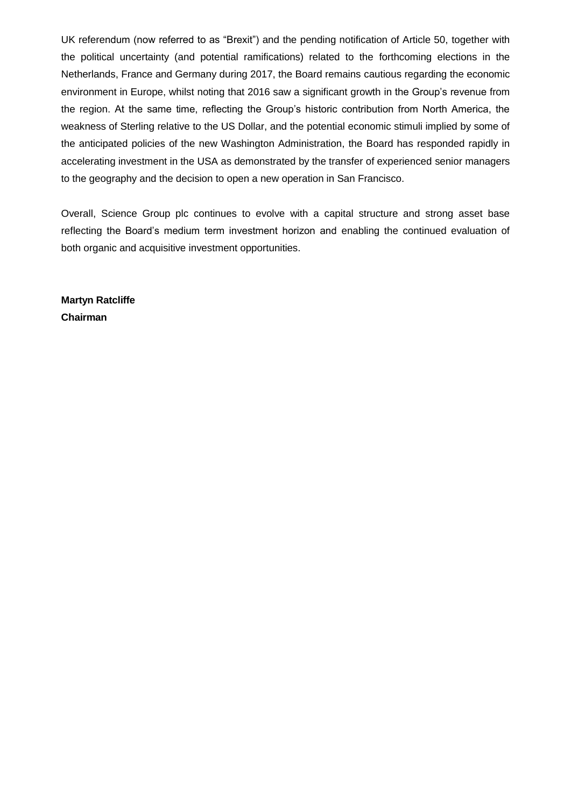UK referendum (now referred to as "Brexit") and the pending notification of Article 50, together with the political uncertainty (and potential ramifications) related to the forthcoming elections in the Netherlands, France and Germany during 2017, the Board remains cautious regarding the economic environment in Europe, whilst noting that 2016 saw a significant growth in the Group's revenue from the region. At the same time, reflecting the Group's historic contribution from North America, the weakness of Sterling relative to the US Dollar, and the potential economic stimuli implied by some of the anticipated policies of the new Washington Administration, the Board has responded rapidly in accelerating investment in the USA as demonstrated by the transfer of experienced senior managers to the geography and the decision to open a new operation in San Francisco.

Overall, Science Group plc continues to evolve with a capital structure and strong asset base reflecting the Board's medium term investment horizon and enabling the continued evaluation of both organic and acquisitive investment opportunities.

**Martyn Ratcliffe Chairman**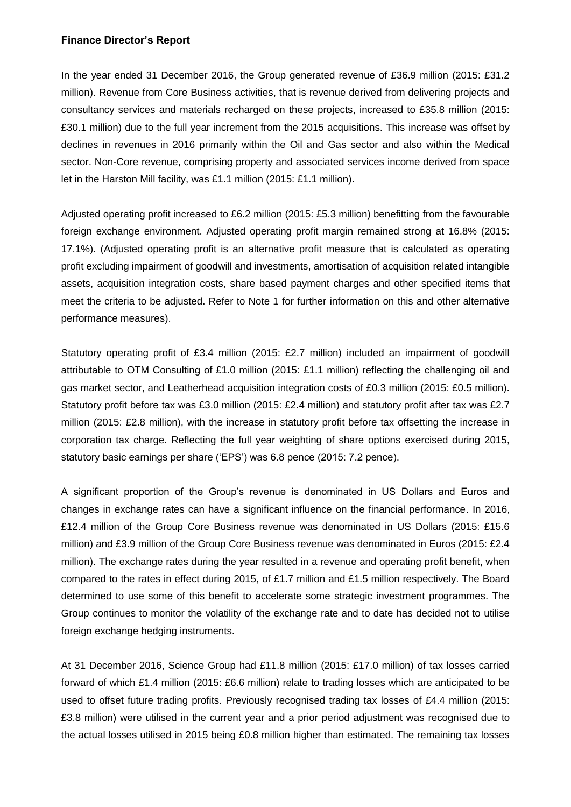# **Finance Director's Report**

In the year ended 31 December 2016, the Group generated revenue of £36.9 million (2015: £31.2) million). Revenue from Core Business activities, that is revenue derived from delivering projects and consultancy services and materials recharged on these projects, increased to £35.8 million (2015: £30.1 million) due to the full year increment from the 2015 acquisitions. This increase was offset by declines in revenues in 2016 primarily within the Oil and Gas sector and also within the Medical sector. Non-Core revenue, comprising property and associated services income derived from space let in the Harston Mill facility, was £1.1 million (2015: £1.1 million).

Adjusted operating profit increased to £6.2 million (2015: £5.3 million) benefitting from the favourable foreign exchange environment. Adjusted operating profit margin remained strong at 16.8% (2015: 17.1%). (Adjusted operating profit is an alternative profit measure that is calculated as operating profit excluding impairment of goodwill and investments, amortisation of acquisition related intangible assets, acquisition integration costs, share based payment charges and other specified items that meet the criteria to be adjusted. Refer to Note 1 for further information on this and other alternative performance measures).

Statutory operating profit of £3.4 million (2015: £2.7 million) included an impairment of goodwill attributable to OTM Consulting of £1.0 million (2015: £1.1 million) reflecting the challenging oil and gas market sector, and Leatherhead acquisition integration costs of £0.3 million (2015: £0.5 million). Statutory profit before tax was £3.0 million (2015: £2.4 million) and statutory profit after tax was £2.7 million (2015: £2.8 million), with the increase in statutory profit before tax offsetting the increase in corporation tax charge. Reflecting the full year weighting of share options exercised during 2015, statutory basic earnings per share ('EPS') was 6.8 pence (2015: 7.2 pence).

A significant proportion of the Group's revenue is denominated in US Dollars and Euros and changes in exchange rates can have a significant influence on the financial performance. In 2016, £12.4 million of the Group Core Business revenue was denominated in US Dollars (2015: £15.6 million) and £3.9 million of the Group Core Business revenue was denominated in Euros (2015: £2.4 million). The exchange rates during the year resulted in a revenue and operating profit benefit, when compared to the rates in effect during 2015, of £1.7 million and £1.5 million respectively. The Board determined to use some of this benefit to accelerate some strategic investment programmes. The Group continues to monitor the volatility of the exchange rate and to date has decided not to utilise foreign exchange hedging instruments.

At 31 December 2016, Science Group had £11.8 million (2015: £17.0 million) of tax losses carried forward of which £1.4 million (2015: £6.6 million) relate to trading losses which are anticipated to be used to offset future trading profits. Previously recognised trading tax losses of £4.4 million (2015: £3.8 million) were utilised in the current year and a prior period adjustment was recognised due to the actual losses utilised in 2015 being £0.8 million higher than estimated. The remaining tax losses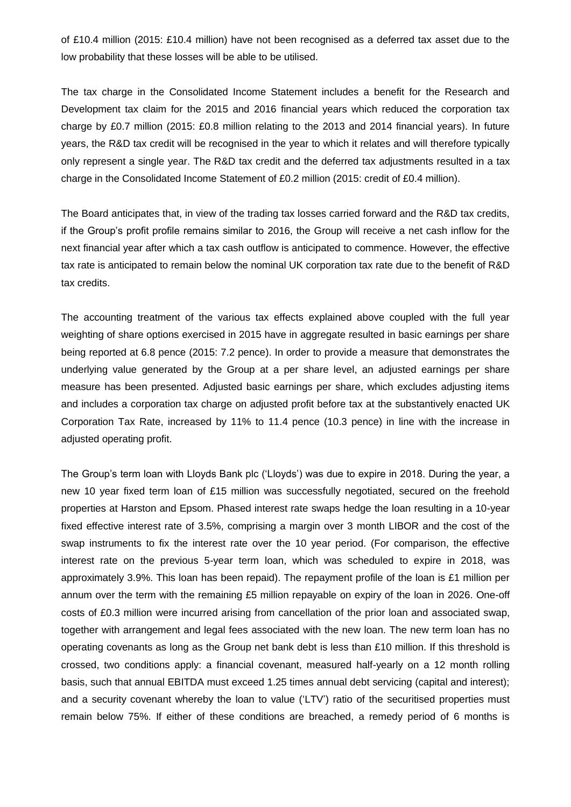of £10.4 million (2015: £10.4 million) have not been recognised as a deferred tax asset due to the low probability that these losses will be able to be utilised.

The tax charge in the Consolidated Income Statement includes a benefit for the Research and Development tax claim for the 2015 and 2016 financial years which reduced the corporation tax charge by £0.7 million (2015: £0.8 million relating to the 2013 and 2014 financial years). In future years, the R&D tax credit will be recognised in the year to which it relates and will therefore typically only represent a single year. The R&D tax credit and the deferred tax adjustments resulted in a tax charge in the Consolidated Income Statement of £0.2 million (2015: credit of £0.4 million).

The Board anticipates that, in view of the trading tax losses carried forward and the R&D tax credits, if the Group's profit profile remains similar to 2016, the Group will receive a net cash inflow for the next financial year after which a tax cash outflow is anticipated to commence. However, the effective tax rate is anticipated to remain below the nominal UK corporation tax rate due to the benefit of R&D tax credits.

The accounting treatment of the various tax effects explained above coupled with the full year weighting of share options exercised in 2015 have in aggregate resulted in basic earnings per share being reported at 6.8 pence (2015: 7.2 pence). In order to provide a measure that demonstrates the underlying value generated by the Group at a per share level, an adjusted earnings per share measure has been presented. Adjusted basic earnings per share, which excludes adjusting items and includes a corporation tax charge on adjusted profit before tax at the substantively enacted UK Corporation Tax Rate, increased by 11% to 11.4 pence (10.3 pence) in line with the increase in adjusted operating profit.

The Group's term loan with Lloyds Bank plc ('Lloyds') was due to expire in 2018. During the year, a new 10 year fixed term loan of £15 million was successfully negotiated, secured on the freehold properties at Harston and Epsom. Phased interest rate swaps hedge the loan resulting in a 10-year fixed effective interest rate of 3.5%, comprising a margin over 3 month LIBOR and the cost of the swap instruments to fix the interest rate over the 10 year period. (For comparison, the effective interest rate on the previous 5-year term loan, which was scheduled to expire in 2018, was approximately 3.9%. This loan has been repaid). The repayment profile of the loan is £1 million per annum over the term with the remaining £5 million repayable on expiry of the loan in 2026. One-off costs of £0.3 million were incurred arising from cancellation of the prior loan and associated swap, together with arrangement and legal fees associated with the new loan. The new term loan has no operating covenants as long as the Group net bank debt is less than £10 million. If this threshold is crossed, two conditions apply: a financial covenant, measured half-yearly on a 12 month rolling basis, such that annual EBITDA must exceed 1.25 times annual debt servicing (capital and interest); and a security covenant whereby the loan to value ('LTV') ratio of the securitised properties must remain below 75%. If either of these conditions are breached, a remedy period of 6 months is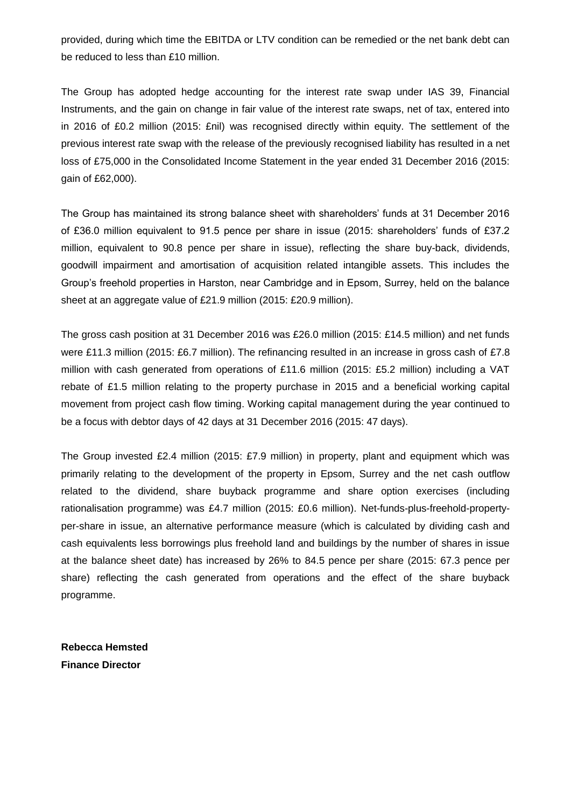provided, during which time the EBITDA or LTV condition can be remedied or the net bank debt can be reduced to less than £10 million.

The Group has adopted hedge accounting for the interest rate swap under IAS 39, Financial Instruments, and the gain on change in fair value of the interest rate swaps, net of tax, entered into in 2016 of £0.2 million (2015: £nil) was recognised directly within equity. The settlement of the previous interest rate swap with the release of the previously recognised liability has resulted in a net loss of £75,000 in the Consolidated Income Statement in the year ended 31 December 2016 (2015: gain of £62,000).

The Group has maintained its strong balance sheet with shareholders' funds at 31 December 2016 of £36.0 million equivalent to 91.5 pence per share in issue (2015: shareholders' funds of £37.2 million, equivalent to 90.8 pence per share in issue), reflecting the share buy-back, dividends, goodwill impairment and amortisation of acquisition related intangible assets. This includes the Group's freehold properties in Harston, near Cambridge and in Epsom, Surrey, held on the balance sheet at an aggregate value of £21.9 million (2015: £20.9 million).

The gross cash position at 31 December 2016 was £26.0 million (2015: £14.5 million) and net funds were £11.3 million (2015: £6.7 million). The refinancing resulted in an increase in gross cash of £7.8 million with cash generated from operations of £11.6 million (2015: £5.2 million) including a VAT rebate of £1.5 million relating to the property purchase in 2015 and a beneficial working capital movement from project cash flow timing. Working capital management during the year continued to be a focus with debtor days of 42 days at 31 December 2016 (2015: 47 days).

The Group invested £2.4 million (2015: £7.9 million) in property, plant and equipment which was primarily relating to the development of the property in Epsom, Surrey and the net cash outflow related to the dividend, share buyback programme and share option exercises (including rationalisation programme) was £4.7 million (2015: £0.6 million). Net-funds-plus-freehold-propertyper-share in issue, an alternative performance measure (which is calculated by dividing cash and cash equivalents less borrowings plus freehold land and buildings by the number of shares in issue at the balance sheet date) has increased by 26% to 84.5 pence per share (2015: 67.3 pence per share) reflecting the cash generated from operations and the effect of the share buyback programme.

**Rebecca Hemsted Finance Director**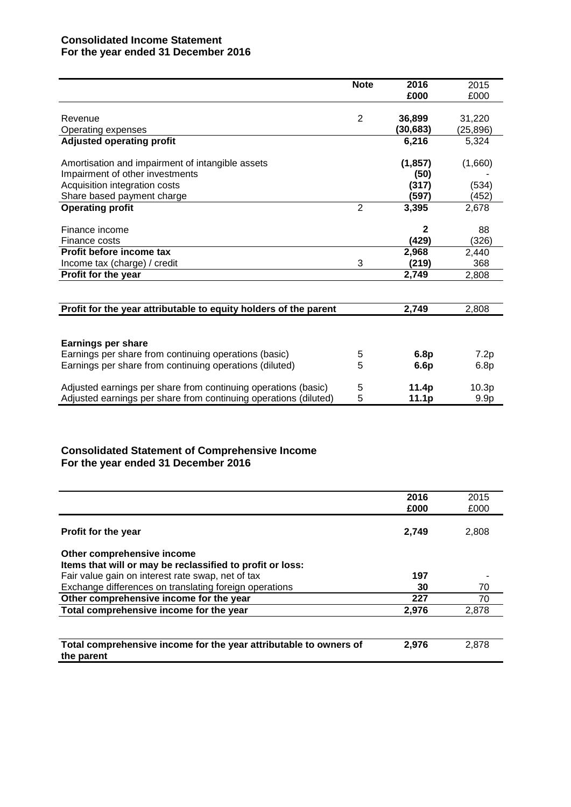# **Consolidated Income Statement For the year ended 31 December 2016**

|                                                                  | <b>Note</b>    | 2016     | 2015              |
|------------------------------------------------------------------|----------------|----------|-------------------|
|                                                                  |                | £000     | £000              |
|                                                                  |                |          |                   |
| Revenue                                                          | $\overline{2}$ | 36,899   | 31,220            |
| Operating expenses                                               |                | (30,683) | (25,896)          |
| <b>Adjusted operating profit</b>                                 |                | 6,216    | 5,324             |
| Amortisation and impairment of intangible assets                 |                | (1, 857) | (1,660)           |
| Impairment of other investments                                  |                | (50)     |                   |
| Acquisition integration costs                                    |                | (317)    | (534)             |
| Share based payment charge                                       |                | (597)    | (452)             |
| <b>Operating profit</b>                                          | $\overline{2}$ | 3,395    | 2,678             |
| Finance income                                                   |                | 2        | 88                |
| Finance costs                                                    |                | (429)    | (326)             |
| Profit before income tax                                         |                | 2,968    | 2,440             |
| Income tax (charge) / credit                                     | 3              | (219)    | 368               |
| Profit for the year                                              |                | 2,749    | 2,808             |
|                                                                  |                |          |                   |
| Profit for the year attributable to equity holders of the parent |                | 2,749    | 2,808             |
|                                                                  |                |          |                   |
| Earnings per share                                               |                |          |                   |
| Earnings per share from continuing operations (basic)            | 5              | 6.8p     | 7.2p              |
| Earnings per share from continuing operations (diluted)          | 5              | 6.6p     | 6.8p              |
| Adjusted earnings per share from continuing operations (basic)   | 5              | 11.4p    | 10.3 <sub>p</sub> |
| Adjusted earnings per share from continuing operations (diluted) | 5              | 11.1p    | 9.9 <sub>p</sub>  |

# **Consolidated Statement of Comprehensive Income For the year ended 31 December 2016**

|                                                                   | 2016  | 2015  |
|-------------------------------------------------------------------|-------|-------|
|                                                                   | £000  | £000  |
|                                                                   |       |       |
| <b>Profit for the year</b>                                        | 2,749 | 2,808 |
| Other comprehensive income                                        |       |       |
| Items that will or may be reclassified to profit or loss:         |       |       |
| Fair value gain on interest rate swap, net of tax                 | 197   |       |
| Exchange differences on translating foreign operations            | 30    | 70    |
| Other comprehensive income for the year                           | 227   | 70    |
| Total comprehensive income for the year                           | 2,976 | 2,878 |
|                                                                   |       |       |
|                                                                   |       |       |
| Total comprehensive income for the year attributable to owners of | 2,976 | 2,878 |
| the parent                                                        |       |       |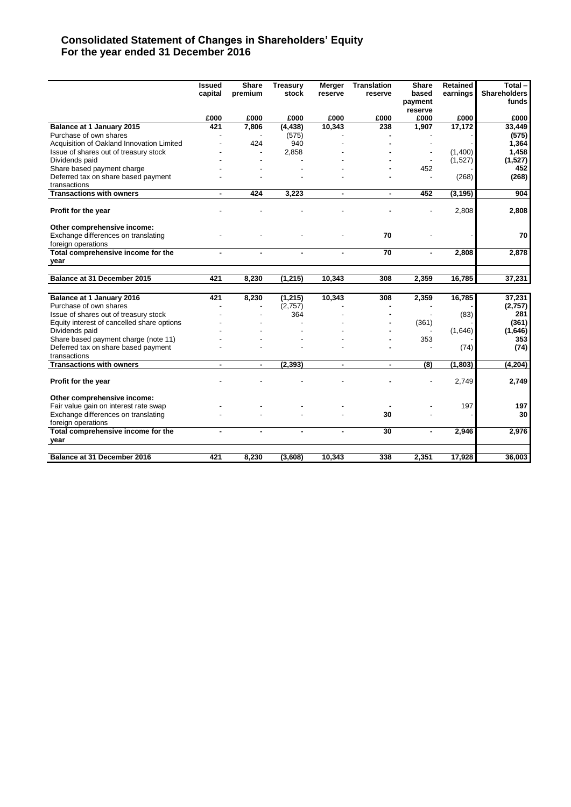# **Consolidated Statement of Changes in Shareholders' Equity For the year ended 31 December 2016**

|                                            | <b>Issued</b><br>capital | <b>Share</b><br>premium | <b>Treasury</b><br>stock | Merger<br>reserve | <b>Translation</b><br>reserve | Share<br>based<br>payment<br>reserve | <b>Retained</b><br>earnings | Total-<br><b>Shareholders</b><br>funds |
|--------------------------------------------|--------------------------|-------------------------|--------------------------|-------------------|-------------------------------|--------------------------------------|-----------------------------|----------------------------------------|
|                                            | £000                     | £000                    | £000                     | £000              | £000                          | £000                                 | £000                        | £000                                   |
| Balance at 1 January 2015                  | 421                      | 7,806                   | (4, 438)                 | 10,343            | 238                           | 1,907                                | 17,172                      | 33,449                                 |
| Purchase of own shares                     |                          |                         | (575)                    |                   |                               |                                      |                             | (575)                                  |
| Acquisition of Oakland Innovation Limited  |                          | 424                     | 940                      |                   |                               |                                      |                             | 1,364                                  |
| Issue of shares out of treasury stock      |                          |                         | 2,858                    |                   |                               |                                      | (1,400)                     | 1,458                                  |
| Dividends paid                             |                          |                         |                          |                   |                               |                                      | (1,527)                     | (1,527)                                |
| Share based payment charge                 |                          |                         |                          |                   |                               | 452                                  |                             | 452                                    |
| Deferred tax on share based payment        |                          |                         |                          |                   |                               |                                      | (268)                       | (268)                                  |
| transactions                               |                          |                         |                          |                   |                               |                                      |                             |                                        |
| <b>Transactions with owners</b>            | $\blacksquare$           | 424                     | 3,223                    | $\blacksquare$    | ٠                             | 452                                  | (3, 195)                    | 904                                    |
| Profit for the year                        |                          |                         |                          |                   |                               |                                      | 2,808                       | 2,808                                  |
| Other comprehensive income:                |                          |                         |                          |                   |                               |                                      |                             |                                        |
| Exchange differences on translating        |                          |                         |                          |                   | 70                            |                                      |                             | 70                                     |
| foreign operations                         |                          |                         |                          |                   |                               |                                      |                             |                                        |
| Total comprehensive income for the         |                          |                         |                          |                   | 70                            |                                      | 2,808                       | 2,878                                  |
| year                                       |                          |                         |                          |                   |                               |                                      |                             |                                        |
|                                            |                          |                         |                          |                   |                               |                                      |                             |                                        |
| Balance at 31 December 2015                | 421                      | 8,230                   | (1, 215)                 | 10,343            | 308                           | 2,359                                | 16,785                      | 37,231                                 |
| Balance at 1 January 2016                  | 421                      | 8,230                   | (1, 215)                 | 10,343            | 308                           | 2,359                                | 16,785                      | 37,231                                 |
| Purchase of own shares                     |                          |                         | (2,757)                  |                   |                               |                                      |                             | (2,757)                                |
| Issue of shares out of treasury stock      |                          |                         | 364                      |                   |                               |                                      | (83)                        | 281                                    |
| Equity interest of cancelled share options |                          |                         |                          |                   |                               | (361)                                |                             | (361)                                  |
| Dividends paid                             |                          |                         |                          |                   |                               |                                      | (1,646)                     | (1,646)                                |
| Share based payment charge (note 11)       |                          |                         |                          |                   |                               | 353                                  |                             | 353                                    |
| Deferred tax on share based payment        |                          |                         |                          |                   |                               |                                      | (74)                        | (74)                                   |
| transactions                               |                          |                         |                          |                   |                               |                                      |                             |                                        |
| <b>Transactions with owners</b>            |                          | $\blacksquare$          | (2, 393)                 | $\blacksquare$    | ٠                             | (8)                                  | (1, 803)                    | (4, 204)                               |
| Profit for the year                        |                          |                         |                          |                   |                               |                                      | 2,749                       | 2,749                                  |
| Other comprehensive income:                |                          |                         |                          |                   |                               |                                      |                             |                                        |
| Fair value gain on interest rate swap      |                          |                         |                          |                   |                               |                                      | 197                         | 197                                    |
| Exchange differences on translating        |                          |                         |                          |                   | 30                            |                                      |                             | 30                                     |
| foreign operations                         |                          |                         |                          |                   |                               |                                      |                             |                                        |
| Total comprehensive income for the<br>year |                          |                         |                          |                   | $\overline{30}$               | ä,                                   | 2,946                       | 2,976                                  |
|                                            |                          |                         |                          |                   |                               |                                      |                             |                                        |
| Balance at 31 December 2016                | 421                      | 8,230                   | (3,608)                  | 10,343            | 338                           | 2,351                                | 17,928                      | 36,003                                 |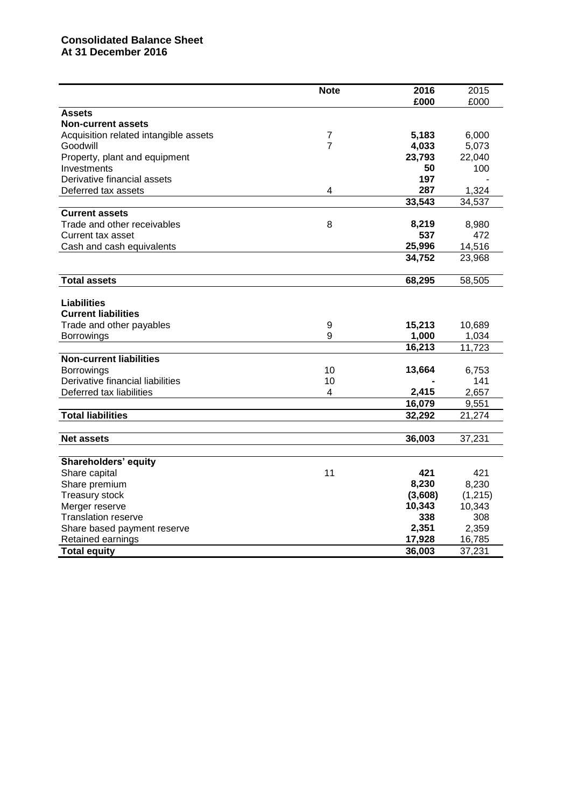# **Consolidated Balance Sheet At 31 December 201 6**

|                                       | <b>Note</b>    | 2016    | 2015     |
|---------------------------------------|----------------|---------|----------|
|                                       |                | £000    | £000     |
| <b>Assets</b>                         |                |         |          |
| <b>Non-current assets</b>             |                |         |          |
| Acquisition related intangible assets | $\overline{7}$ | 5,183   | 6,000    |
| Goodwill                              | $\overline{7}$ | 4,033   | 5,073    |
| Property, plant and equipment         |                | 23,793  | 22,040   |
| Investments                           |                | 50      | 100      |
| Derivative financial assets           |                | 197     |          |
| Deferred tax assets                   | 4              | 287     | 1,324    |
|                                       |                | 33,543  | 34,537   |
| <b>Current assets</b>                 |                |         |          |
| Trade and other receivables           | 8              | 8,219   | 8,980    |
| Current tax asset                     |                | 537     | 472      |
| Cash and cash equivalents             |                | 25,996  | 14,516   |
|                                       |                | 34,752  | 23,968   |
|                                       |                |         |          |
| <b>Total assets</b>                   |                | 68,295  | 58,505   |
|                                       |                |         |          |
| <b>Liabilities</b>                    |                |         |          |
| <b>Current liabilities</b>            |                |         |          |
| Trade and other payables              | 9              | 15,213  | 10,689   |
|                                       | 9              | 1,000   | 1,034    |
| <b>Borrowings</b>                     |                | 16,213  | 11,723   |
| <b>Non-current liabilities</b>        |                |         |          |
|                                       |                |         |          |
| <b>Borrowings</b>                     | 10             | 13,664  | 6,753    |
| Derivative financial liabilities      | 10             |         | 141      |
| Deferred tax liabilities              | 4              | 2,415   | 2,657    |
|                                       |                | 16,079  | 9,551    |
| <b>Total liabilities</b>              |                | 32,292  | 21,274   |
|                                       |                |         |          |
| <b>Net assets</b>                     |                | 36,003  | 37,231   |
|                                       |                |         |          |
| <b>Shareholders' equity</b>           |                |         |          |
| Share capital                         | 11             | 421     | 421      |
| Share premium                         |                | 8,230   | 8,230    |
| <b>Treasury stock</b>                 |                | (3,608) | (1, 215) |
| Merger reserve                        |                | 10,343  | 10,343   |
| <b>Translation reserve</b>            |                | 338     | 308      |
| Share based payment reserve           |                | 2,351   | 2,359    |
| Retained earnings                     |                | 17,928  | 16,785   |
| <b>Total equity</b>                   |                | 36,003  | 37,231   |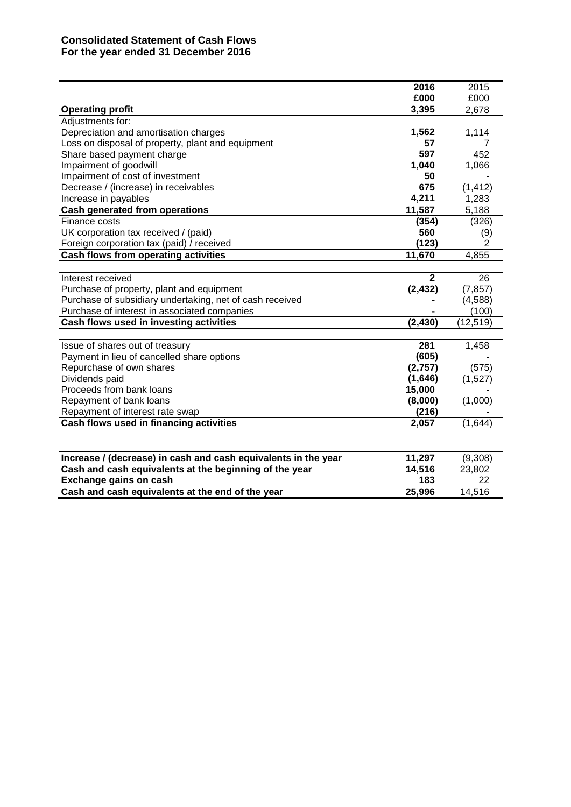# **Consolidated Statement of Cash Flows For the year ended 31 December 2016**

|                                                                | 2016         | 2015      |
|----------------------------------------------------------------|--------------|-----------|
|                                                                | £000         | £000      |
| <b>Operating profit</b>                                        | 3,395        | 2,678     |
| Adjustments for:                                               |              |           |
| Depreciation and amortisation charges                          | 1,562        | 1,114     |
| Loss on disposal of property, plant and equipment              | 57           |           |
| Share based payment charge                                     | 597          | 452       |
| Impairment of goodwill                                         | 1,040        | 1,066     |
| Impairment of cost of investment                               | 50           |           |
| Decrease / (increase) in receivables                           | 675          | (1, 412)  |
| Increase in payables                                           | 4,211        | 1,283     |
| <b>Cash generated from operations</b>                          | 11,587       | 5,188     |
| Finance costs                                                  | (354)        | (326)     |
| UK corporation tax received / (paid)                           | 560          | (9)       |
| Foreign corporation tax (paid) / received                      | (123)        | 2         |
| Cash flows from operating activities                           | 11,670       | 4,855     |
|                                                                |              |           |
| Interest received                                              | $\mathbf{2}$ | 26        |
| Purchase of property, plant and equipment                      | (2, 432)     | (7, 857)  |
| Purchase of subsidiary undertaking, net of cash received       |              | (4,588)   |
| Purchase of interest in associated companies                   |              | (100)     |
| Cash flows used in investing activities                        | (2, 430)     | (12, 519) |
|                                                                |              |           |
| Issue of shares out of treasury                                | 281          | 1,458     |
| Payment in lieu of cancelled share options                     | (605)        |           |
| Repurchase of own shares                                       | (2,757)      | (575)     |
| Dividends paid                                                 | (1,646)      | (1,527)   |
| Proceeds from bank loans                                       | 15,000       |           |
| Repayment of bank loans                                        | (8,000)      | (1,000)   |
| Repayment of interest rate swap                                | (216)        |           |
| Cash flows used in financing activities                        | 2,057        | (1,644)   |
|                                                                |              |           |
| Increase / (decrease) in cash and cash equivalents in the year | 11,297       | (9,308)   |
| Cash and cash equivalents at the beginning of the year         | 14,516       | 23,802    |
| Exchange gains on cash                                         | 183          | 22        |
| Cash and cash equivalents at the end of the year               | 25,996       | 14,516    |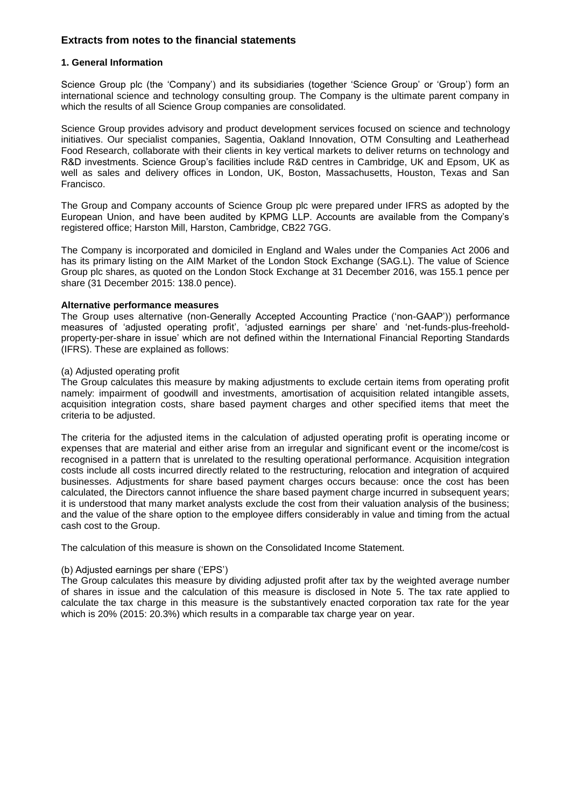## **Extracts from notes to the financial statements**

#### **1. General Information**

Science Group plc (the 'Company') and its subsidiaries (together 'Science Group' or 'Group') form an international science and technology consulting group. The Company is the ultimate parent company in which the results of all Science Group companies are consolidated.

Science Group provides advisory and product development services focused on science and technology initiatives. Our specialist companies, Sagentia, Oakland Innovation, OTM Consulting and Leatherhead Food Research, collaborate with their clients in key vertical markets to deliver returns on technology and R&D investments. Science Group's facilities include R&D centres in Cambridge, UK and Epsom, UK as well as sales and delivery offices in London, UK, Boston, Massachusetts, Houston, Texas and San Francisco.

The Group and Company accounts of Science Group plc were prepared under IFRS as adopted by the European Union, and have been audited by KPMG LLP. Accounts are available from the Company's registered office; Harston Mill, Harston, Cambridge, CB22 7GG.

The Company is incorporated and domiciled in England and Wales under the Companies Act 2006 and has its primary listing on the AIM Market of the London Stock Exchange (SAG.L). The value of Science Group plc shares, as quoted on the London Stock Exchange at 31 December 2016, was 155.1 pence per share (31 December 2015: 138.0 pence).

#### **Alternative performance measures**

The Group uses alternative (non-Generally Accepted Accounting Practice ('non-GAAP')) performance measures of 'adjusted operating profit', 'adjusted earnings per share' and 'net-funds-plus-freeholdproperty-per-share in issue' which are not defined within the International Financial Reporting Standards (IFRS). These are explained as follows:

#### (a) Adjusted operating profit

The Group calculates this measure by making adjustments to exclude certain items from operating profit namely: impairment of goodwill and investments, amortisation of acquisition related intangible assets, acquisition integration costs, share based payment charges and other specified items that meet the criteria to be adjusted.

The criteria for the adjusted items in the calculation of adjusted operating profit is operating income or expenses that are material and either arise from an irregular and significant event or the income/cost is recognised in a pattern that is unrelated to the resulting operational performance. Acquisition integration costs include all costs incurred directly related to the restructuring, relocation and integration of acquired businesses. Adjustments for share based payment charges occurs because: once the cost has been calculated, the Directors cannot influence the share based payment charge incurred in subsequent years; it is understood that many market analysts exclude the cost from their valuation analysis of the business; and the value of the share option to the employee differs considerably in value and timing from the actual cash cost to the Group.

The calculation of this measure is shown on the Consolidated Income Statement.

#### (b) Adjusted earnings per share ('EPS')

The Group calculates this measure by dividing adjusted profit after tax by the weighted average number of shares in issue and the calculation of this measure is disclosed in Note 5. The tax rate applied to calculate the tax charge in this measure is the substantively enacted corporation tax rate for the year which is 20% (2015: 20.3%) which results in a comparable tax charge year on year.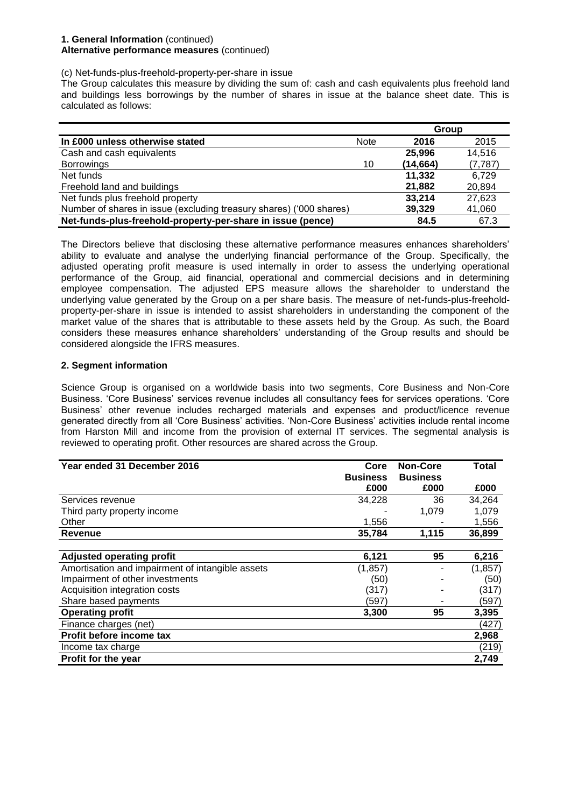#### **1. General Information** (continued) **Alternative performance measures** (continued)

(c) Net-funds-plus-freehold-property-per-share in issue

The Group calculates this measure by dividing the sum of: cash and cash equivalents plus freehold land and buildings less borrowings by the number of shares in issue at the balance sheet date. This is calculated as follows:

|                                                                     |             | Group     |          |
|---------------------------------------------------------------------|-------------|-----------|----------|
| In £000 unless otherwise stated                                     | <b>Note</b> | 2016      | 2015     |
| Cash and cash equivalents                                           |             | 25,996    | 14,516   |
| <b>Borrowings</b>                                                   | 10          | (14, 664) | (7, 787) |
| Net funds                                                           |             | 11,332    | 6.729    |
| Freehold land and buildings                                         |             | 21,882    | 20,894   |
| Net funds plus freehold property                                    |             | 33,214    | 27,623   |
| Number of shares in issue (excluding treasury shares) ('000 shares) |             | 39,329    | 41,060   |
| Net-funds-plus-freehold-property-per-share in issue (pence)         |             | 84.5      | 67.3     |

The Directors believe that disclosing these alternative performance measures enhances shareholders' ability to evaluate and analyse the underlying financial performance of the Group. Specifically, the adjusted operating profit measure is used internally in order to assess the underlying operational performance of the Group, aid financial, operational and commercial decisions and in determining employee compensation. The adjusted EPS measure allows the shareholder to understand the underlying value generated by the Group on a per share basis. The measure of net-funds-plus-freeholdproperty-per-share in issue is intended to assist shareholders in understanding the component of the market value of the shares that is attributable to these assets held by the Group. As such, the Board considers these measures enhance shareholders' understanding of the Group results and should be considered alongside the IFRS measures.

#### **2. Segment information**

Science Group is organised on a worldwide basis into two segments, Core Business and Non-Core Business. 'Core Business' services revenue includes all consultancy fees for services operations. 'Core Business' other revenue includes recharged materials and expenses and product/licence revenue generated directly from all 'Core Business' activities. 'Non-Core Business' activities include rental income from Harston Mill and income from the provision of external IT services. The segmental analysis is reviewed to operating profit. Other resources are shared across the Group.

| Year ended 31 December 2016                      | Core            | <b>Non-Core</b> | Total    |
|--------------------------------------------------|-----------------|-----------------|----------|
|                                                  | <b>Business</b> | <b>Business</b> |          |
|                                                  | £000            | £000            | £000     |
| Services revenue                                 | 34,228          | 36              | 34,264   |
| Third party property income                      |                 | 1,079           | 1,079    |
| Other                                            | 1,556           |                 | 1,556    |
| Revenue                                          | 35,784          | 1,115           | 36,899   |
|                                                  |                 |                 |          |
| <b>Adjusted operating profit</b>                 | 6,121           | 95              | 6,216    |
| Amortisation and impairment of intangible assets | (1, 857)        |                 | (1, 857) |
| Impairment of other investments                  | (50)            |                 | (50)     |
| Acquisition integration costs                    | (317)           |                 | (317)    |
| Share based payments                             | (597)           |                 | (597)    |
| <b>Operating profit</b>                          | 3,300           | 95              | 3,395    |
| Finance charges (net)                            |                 |                 | (427)    |
| Profit before income tax                         |                 |                 | 2,968    |
| Income tax charge                                |                 |                 | (219)    |
| Profit for the year                              |                 |                 | 2,749    |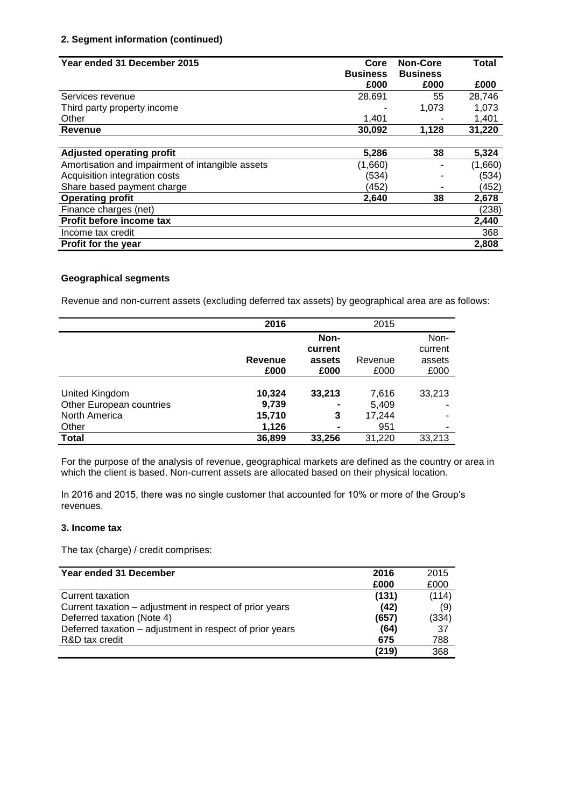# **2. Segment information (continued)**

| Year ended 31 December 2015                      | Core            | <b>Non-Core</b> | <b>Total</b> |
|--------------------------------------------------|-----------------|-----------------|--------------|
|                                                  | <b>Business</b> | <b>Business</b> |              |
|                                                  | £000            | £000            | £000         |
| Services revenue                                 | 28,691          | 55              | 28,746       |
| Third party property income                      |                 | 1,073           | 1,073        |
| Other                                            | 1,401           |                 | 1,401        |
| <b>Revenue</b>                                   | 30,092          | 1,128           | 31,220       |
|                                                  |                 |                 |              |
| <b>Adjusted operating profit</b>                 | 5,286           | 38              | 5,324        |
| Amortisation and impairment of intangible assets | (1,660)         |                 | (1,660)      |
| Acquisition integration costs                    | (534)           | ۰               | (534)        |
| Share based payment charge                       | (452)           |                 | (452)        |
| <b>Operating profit</b>                          | 2.640           | 38              | 2,678        |
| Finance charges (net)                            |                 |                 | (238)        |
| Profit before income tax                         |                 |                 | 2,440        |
| Income tax credit                                |                 |                 | 368          |
| <b>Profit for the year</b>                       |                 |                 | 2,808        |

## **Geographical segments**

Revenue and non-current assets (excluding deferred tax assets) by geographical area are as follows:

|                          | 2016    |                | 2015    |         |
|--------------------------|---------|----------------|---------|---------|
|                          |         | Non-           |         | Non-    |
|                          |         | current        |         | current |
|                          | Revenue | assets         | Revenue | assets  |
|                          | £000    | £000           | £000    | £000    |
|                          |         |                |         |         |
| United Kingdom           | 10,324  | 33,213         | 7,616   | 33,213  |
| Other European countries | 9,739   | $\blacksquare$ | 5,409   |         |
| North America            | 15,710  | 3              | 17,244  |         |
| Other                    | 1,126   | $\blacksquare$ | 951     |         |
| <b>Total</b>             | 36,899  | 33,256         | 31,220  | 33,213  |

For the purpose of the analysis of revenue, geographical markets are defined as the country or area in which the client is based. Non-current assets are allocated based on their physical location.

In 2016 and 2015, there was no single customer that accounted for 10% or more of the Group's revenues.

#### **3. Income tax**

The tax (charge) / credit comprises:

| Year ended 31 December                                   | 2016  | 2015  |
|----------------------------------------------------------|-------|-------|
|                                                          | £000  | £000  |
| Current taxation                                         | (131) | (114) |
| Current taxation – adjustment in respect of prior years  | (42)  | (9)   |
| Deferred taxation (Note 4)                               | (657) | (334) |
| Deferred taxation – adjustment in respect of prior years | (64)  | 37    |
| R&D tax credit                                           | 675   | 788   |
|                                                          | (219) | 368   |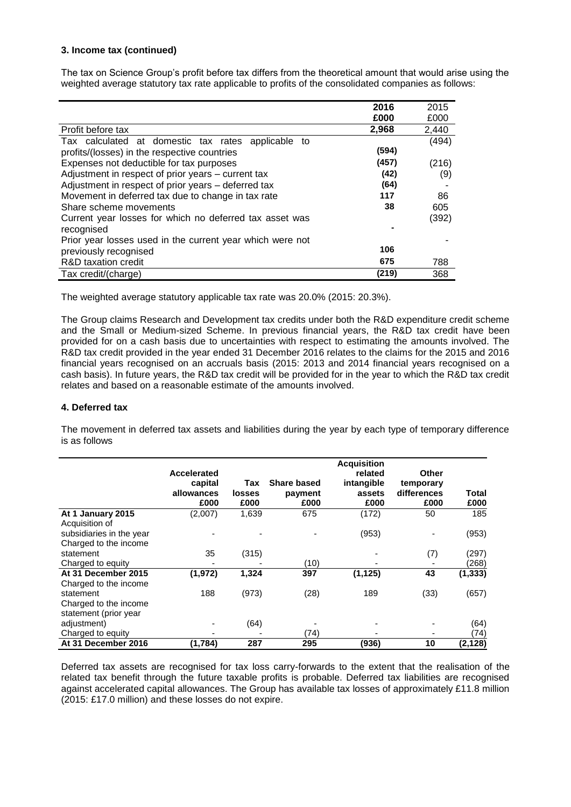#### **3. Income tax (continued)**

The tax on Science Group's profit before tax differs from the theoretical amount that would arise using the weighted average statutory tax rate applicable to profits of the consolidated companies as follows:

|                                                           | 2016  | 2015  |
|-----------------------------------------------------------|-------|-------|
|                                                           | £000  | £000  |
| Profit before tax                                         | 2,968 | 2,440 |
| Tax calculated at domestic tax rates applicable to        |       | (494) |
| profits/(losses) in the respective countries              | (594) |       |
| Expenses not deductible for tax purposes                  | (457) | (216) |
| Adjustment in respect of prior years – current tax        | (42)  | (9)   |
| Adjustment in respect of prior years – deferred tax       | (64)  |       |
| Movement in deferred tax due to change in tax rate        | 117   | 86    |
| Share scheme movements                                    | 38    | 605   |
| Current year losses for which no deferred tax asset was   |       | (392) |
| recognised                                                |       |       |
| Prior year losses used in the current year which were not |       |       |
| previously recognised                                     | 106   |       |
| R&D taxation credit                                       | 675   | 788   |
| Tax credit/(charge)                                       | (219) | 368   |

The weighted average statutory applicable tax rate was 20.0% (2015: 20.3%).

The Group claims Research and Development tax credits under both the R&D expenditure credit scheme and the Small or Medium-sized Scheme. In previous financial years, the R&D tax credit have been provided for on a cash basis due to uncertainties with respect to estimating the amounts involved. The R&D tax credit provided in the year ended 31 December 2016 relates to the claims for the 2015 and 2016 financial years recognised on an accruals basis (2015: 2013 and 2014 financial years recognised on a cash basis). In future years, the R&D tax credit will be provided for in the year to which the R&D tax credit relates and based on a reasonable estimate of the amounts involved.

#### **4. Deferred tax**

The movement in deferred tax assets and liabilities during the year by each type of temporary difference is as follows

|                          | Accelerated<br>capital<br>allowances<br>£000 | Tax<br>losses<br>£000 | <b>Share based</b><br>payment<br>£000 | <b>Acquisition</b><br>related<br>intangible<br>assets<br>£000 | Other<br>temporary<br>differences<br>£000 | Total<br>£000 |
|--------------------------|----------------------------------------------|-----------------------|---------------------------------------|---------------------------------------------------------------|-------------------------------------------|---------------|
| At 1 January 2015        | (2,007)                                      | 1,639                 | 675                                   | (172)                                                         | 50                                        | 185           |
| Acquisition of           |                                              |                       |                                       |                                                               |                                           |               |
| subsidiaries in the year |                                              |                       |                                       | (953)                                                         |                                           | (953)         |
| Charged to the income    |                                              |                       |                                       |                                                               |                                           |               |
| statement                | 35                                           | (315)                 |                                       |                                                               | (7)                                       | (297)         |
| Charged to equity        |                                              |                       | (10)                                  |                                                               |                                           | (268)         |
| At 31 December 2015      | (1, 972)                                     | 1,324                 | 397                                   | (1, 125)                                                      | 43                                        | (1, 333)      |
| Charged to the income    |                                              |                       |                                       |                                                               |                                           |               |
| statement                | 188                                          | (973)                 | (28)                                  | 189                                                           | (33)                                      | (657)         |
| Charged to the income    |                                              |                       |                                       |                                                               |                                           |               |
| statement (prior year    |                                              |                       |                                       |                                                               |                                           |               |
| adjustment)              |                                              | (64)                  |                                       |                                                               |                                           | (64)          |
| Charged to equity        |                                              |                       | (74)                                  |                                                               |                                           | (74)          |
| At 31 December 2016      | (1,784)                                      | 287                   | 295                                   | (936)                                                         | 10                                        | (2, 128)      |

Deferred tax assets are recognised for tax loss carry-forwards to the extent that the realisation of the related tax benefit through the future taxable profits is probable. Deferred tax liabilities are recognised against accelerated capital allowances. The Group has available tax losses of approximately £11.8 million (2015: £17.0 million) and these losses do not expire.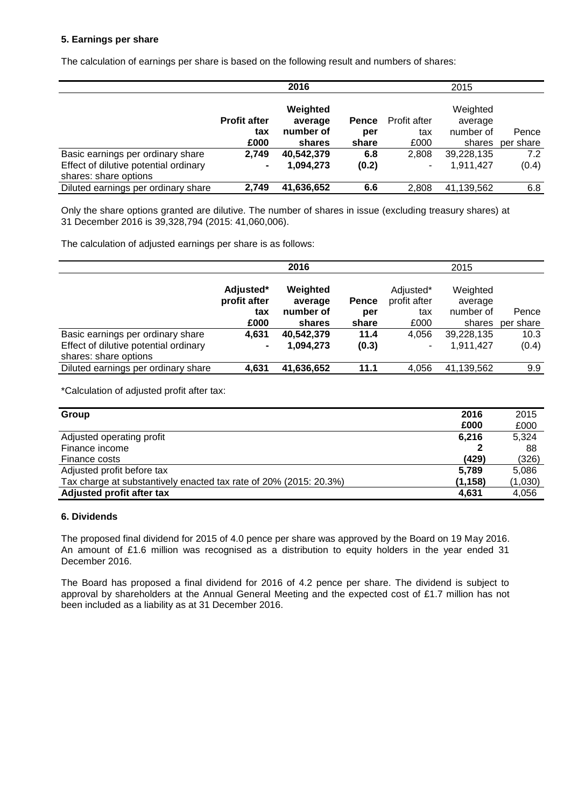#### **5. Earnings per share**

The calculation of earnings per share is based on the following result and numbers of shares:

|                                       |                     | 2016                |       |              | 2015                |           |
|---------------------------------------|---------------------|---------------------|-------|--------------|---------------------|-----------|
|                                       | <b>Profit after</b> | Weighted<br>average | Pence | Profit after | Weighted<br>average |           |
|                                       | tax                 | number of           | per   | tax          | number of           | Pence     |
|                                       | £000                | shares              | share | £000         | shares              | per share |
| Basic earnings per ordinary share     | 2,749               | 40,542,379          | 6.8   | 2.808        | 39,228,135          | 7.2       |
| Effect of dilutive potential ordinary | $\blacksquare$      | 1,094,273           | (0.2) | ٠            | 1.911.427           | (0.4)     |
| shares: share options                 |                     |                     |       |              |                     |           |
| Diluted earnings per ordinary share   | 2,749               | 41,636,652          | 6.6   | 2,808        | 41,139,562          | 6.8       |

Only the share options granted are dilutive. The number of shares in issue (excluding treasury shares) at 31 December 2016 is 39,328,794 (2015: 41,060,006).

The calculation of adjusted earnings per share is as follows:

|                                                                | 2016                                     |                                            |                              | 2015                                     |                                            |                    |
|----------------------------------------------------------------|------------------------------------------|--------------------------------------------|------------------------------|------------------------------------------|--------------------------------------------|--------------------|
|                                                                | Adjusted*<br>profit after<br>tax<br>£000 | Weighted<br>average<br>number of<br>shares | <b>Pence</b><br>per<br>share | Adjusted*<br>profit after<br>tax<br>£000 | Weighted<br>average<br>number of<br>shares | Pence<br>per share |
| Basic earnings per ordinary share                              | 4.631                                    | 40,542,379                                 | 11.4                         | 4,056                                    | 39,228,135                                 | 10.3               |
| Effect of dilutive potential ordinary<br>shares: share options |                                          | 1,094,273                                  | (0.3)                        | ۰                                        | 1.911.427                                  | (0.4)              |
| Diluted earnings per ordinary share                            | 4,631                                    | 41,636,652                                 | 11.1                         | 4,056                                    | 41,139,562                                 | 9.9                |

\*Calculation of adjusted profit after tax:

| Group                                                             | 2016     | 2015    |
|-------------------------------------------------------------------|----------|---------|
|                                                                   | £000     | £000    |
| Adjusted operating profit                                         | 6,216    | 5,324   |
| Finance income                                                    |          | 88      |
| Finance costs                                                     | (429)    | (326)   |
| Adjusted profit before tax                                        | 5.789    | 5,086   |
| Tax charge at substantively enacted tax rate of 20% (2015: 20.3%) | (1, 158) | (1,030) |
| Adjusted profit after tax                                         | 4.631    | 4,056   |

#### **6. Dividends**

The proposed final dividend for 2015 of 4.0 pence per share was approved by the Board on 19 May 2016. An amount of £1.6 million was recognised as a distribution to equity holders in the year ended 31 December 2016.

The Board has proposed a final dividend for 2016 of 4.2 pence per share. The dividend is subject to approval by shareholders at the Annual General Meeting and the expected cost of £1.7 million has not been included as a liability as at 31 December 2016.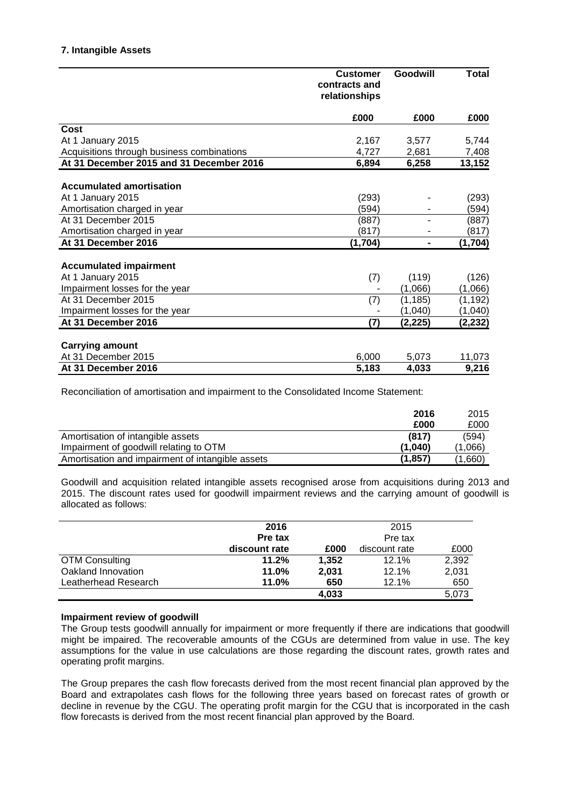|                                            | <b>Customer</b><br>contracts and<br>relationships | Goodwill       | <b>Total</b> |
|--------------------------------------------|---------------------------------------------------|----------------|--------------|
|                                            | £000                                              | £000           | £000         |
| Cost                                       |                                                   |                |              |
| At 1 January 2015                          | 2,167                                             | 3,577          | 5,744        |
| Acquisitions through business combinations | 4,727                                             | 2,681          | 7,408        |
| At 31 December 2015 and 31 December 2016   | 6,894                                             | 6,258          | 13,152       |
| <b>Accumulated amortisation</b>            |                                                   |                |              |
| At 1 January 2015                          | (293)                                             |                | (293)        |
| Amortisation charged in year               | (594)                                             |                | (594)        |
| At 31 December 2015                        | (887)                                             |                | (887)        |
| Amortisation charged in year               | (817)                                             |                | (817)        |
| At 31 December 2016                        | (1,704)                                           | $\blacksquare$ | (1, 704)     |
| <b>Accumulated impairment</b>              |                                                   |                |              |
| At 1 January 2015                          | (7)                                               | (119)          | (126)        |
| Impairment losses for the year             |                                                   | (1,066)        | (1,066)      |
| At 31 December 2015                        | (7)                                               | (1, 185)       | (1, 192)     |
| Impairment losses for the year             |                                                   | (1,040)        | (1,040)      |
| At 31 December 2016                        | (7)                                               | (2,225)        | (2,232)      |
|                                            |                                                   |                |              |
| <b>Carrying amount</b>                     |                                                   |                |              |
| At 31 December 2015                        | 6,000                                             | 5,073          | 11,073       |
| At 31 December 2016                        | 5,183                                             | 4,033          | 9,216        |

Reconciliation of amortisation and impairment to the Consolidated Income Statement:

|                                                  | 2016    | 2015    |
|--------------------------------------------------|---------|---------|
|                                                  | £000    | £000    |
| Amortisation of intangible assets                | (817)   | (594)   |
| Impairment of goodwill relating to OTM           | (1.040) | (1,066) |
| Amortisation and impairment of intangible assets | (1,857) | .,660)  |

Goodwill and acquisition related intangible assets recognised arose from acquisitions during 2013 and 2015. The discount rates used for goodwill impairment reviews and the carrying amount of goodwill is allocated as follows:

|                       | 2016          |       | 2015          |       |
|-----------------------|---------------|-------|---------------|-------|
|                       | Pre tax       |       | Pre tax       |       |
|                       | discount rate | £000  | discount rate | £000  |
| <b>OTM Consulting</b> | 11.2%         | 1.352 | $12.1\%$      | 2,392 |
| Oakland Innovation    | 11.0%         | 2.031 | 12.1%         | 2,031 |
| Leatherhead Research  | 11.0%         | 650   | 12.1%         | 650   |
|                       |               | 4.033 |               | 5,073 |

#### **Impairment review of goodwill**

The Group tests goodwill annually for impairment or more frequently if there are indications that goodwill might be impaired. The recoverable amounts of the CGUs are determined from value in use. The key assumptions for the value in use calculations are those regarding the discount rates, growth rates and operating profit margins.

The Group prepares the cash flow forecasts derived from the most recent financial plan approved by the Board and extrapolates cash flows for the following three years based on forecast rates of growth or decline in revenue by the CGU. The operating profit margin for the CGU that is incorporated in the cash flow forecasts is derived from the most recent financial plan approved by the Board.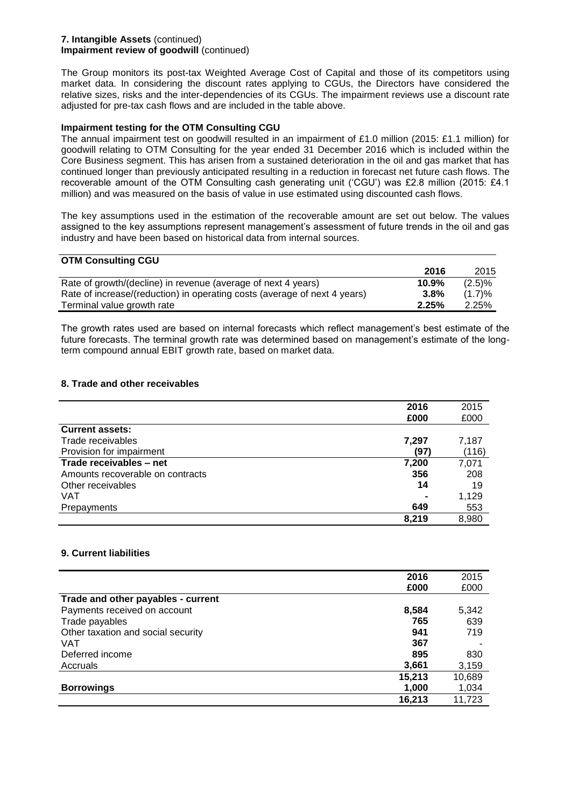#### **7. Intangible Assets** (continued) **Impairment review of goodwill** (continued)

The Group monitors its post-tax Weighted Average Cost of Capital and those of its competitors using market data. In considering the discount rates applying to CGUs, the Directors have considered the relative sizes, risks and the inter-dependencies of its CGUs. The impairment reviews use a discount rate adjusted for pre-tax cash flows and are included in the table above.

### **Impairment testing for the OTM Consulting CGU**

The annual impairment test on goodwill resulted in an impairment of £1.0 million (2015: £1.1 million) for goodwill relating to OTM Consulting for the year ended 31 December 2016 which is included within the Core Business segment. This has arisen from a sustained deterioration in the oil and gas market that has continued longer than previously anticipated resulting in a reduction in forecast net future cash flows. The recoverable amount of the OTM Consulting cash generating unit ('CGU') was £2.8 million (2015: £4.1 million) and was measured on the basis of value in use estimated using discounted cash flows.

The key assumptions used in the estimation of the recoverable amount are set out below. The values assigned to the key assumptions represent management's assessment of future trends in the oil and gas industry and have been based on historical data from internal sources.

| <b>UTM CONSUITING COU</b>                                                 |       |           |
|---------------------------------------------------------------------------|-------|-----------|
|                                                                           | 2016  | 2015      |
| Rate of growth/(decline) in revenue (average of next 4 years)             | 10.9% | $(2.5)\%$ |
| Rate of increase/(reduction) in operating costs (average of next 4 years) | 3.8%  | (1.7)%    |
| Terminal value growth rate                                                | 2.25% | 2.25%     |

The growth rates used are based on internal forecasts which reflect management's best estimate of the future forecasts. The terminal growth rate was determined based on management's estimate of the longterm compound annual EBIT growth rate, based on market data.

## **8. Trade and other receivables**

**OTM Consulting CGU**

|                                  | 2016  | 2015  |
|----------------------------------|-------|-------|
|                                  | £000  | £000  |
| <b>Current assets:</b>           |       |       |
| Trade receivables                | 7,297 | 7,187 |
| Provision for impairment         | (97)  | (116) |
| Trade receivables - net          | 7,200 | 7,071 |
| Amounts recoverable on contracts | 356   | 208   |
| Other receivables                | 14    | 19    |
| <b>VAT</b>                       |       | 1,129 |
| Prepayments                      | 649   | 553   |
|                                  | 8,219 | 8,980 |

#### **9. Current liabilities**

|                                    | 2016   | 2015   |
|------------------------------------|--------|--------|
|                                    | £000   | £000   |
| Trade and other payables - current |        |        |
| Payments received on account       | 8,584  | 5,342  |
| Trade payables                     | 765    | 639    |
| Other taxation and social security | 941    | 719    |
| VAT                                | 367    |        |
| Deferred income                    | 895    | 830    |
| Accruals                           | 3,661  | 3,159  |
|                                    | 15,213 | 10,689 |
| <b>Borrowings</b>                  | 1,000  | 1,034  |
|                                    | 16,213 | 11,723 |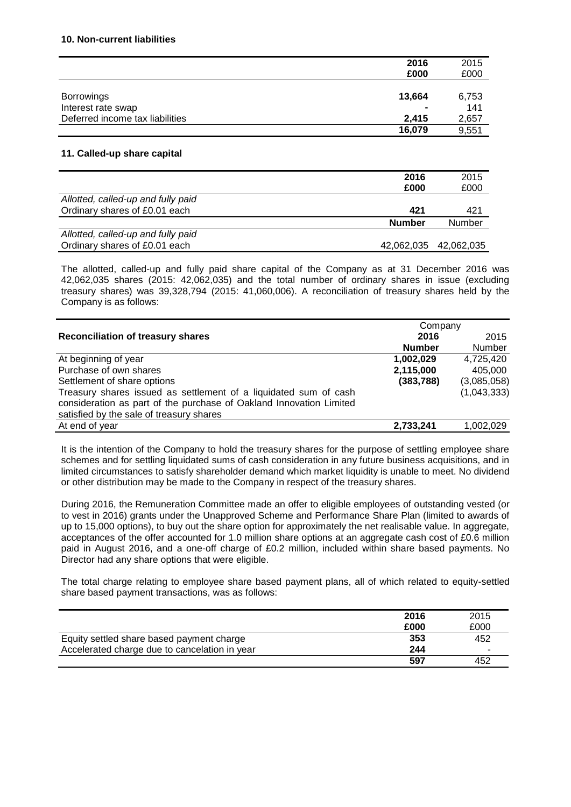|                                 | 2016           | 2015  |
|---------------------------------|----------------|-------|
|                                 | £000           | £000  |
|                                 |                |       |
| <b>Borrowings</b>               | 13,664         | 6,753 |
| Interest rate swap              | $\blacksquare$ | 141   |
| Deferred income tax liabilities | 2.415          | 2,657 |
|                                 | 16,079         | 9,551 |

#### **11. Called-up share capital**

|                                    | 2016          | 2015                  |
|------------------------------------|---------------|-----------------------|
|                                    | £000          | £000                  |
| Allotted, called-up and fully paid |               |                       |
| Ordinary shares of £0.01 each      | 421           | 421                   |
|                                    | <b>Number</b> | <b>Number</b>         |
| Allotted, called-up and fully paid |               |                       |
| Ordinary shares of £0.01 each      |               | 42,062,035 42,062,035 |

The allotted, called-up and fully paid share capital of the Company as at 31 December 2016 was 42,062,035 shares (2015: 42,062,035) and the total number of ordinary shares in issue (excluding treasury shares) was 39,328,794 (2015: 41,060,006). A reconciliation of treasury shares held by the Company is as follows:

|                                                                     | Company       |             |
|---------------------------------------------------------------------|---------------|-------------|
| <b>Reconciliation of treasury shares</b>                            | 2016          | 2015        |
|                                                                     | <b>Number</b> | Number      |
| At beginning of year                                                | 1,002,029     | 4,725,420   |
| Purchase of own shares                                              | 2,115,000     | 405,000     |
| Settlement of share options                                         | (383, 788)    | (3,085,058) |
| Treasury shares issued as settlement of a liquidated sum of cash    |               | (1,043,333) |
| consideration as part of the purchase of Oakland Innovation Limited |               |             |
| satisfied by the sale of treasury shares                            |               |             |
| At end of year                                                      | 2,733,241     | 1,002,029   |

It is the intention of the Company to hold the treasury shares for the purpose of settling employee share schemes and for settling liquidated sums of cash consideration in any future business acquisitions, and in limited circumstances to satisfy shareholder demand which market liquidity is unable to meet. No dividend or other distribution may be made to the Company in respect of the treasury shares.

During 2016, the Remuneration Committee made an offer to eligible employees of outstanding vested (or to vest in 2016) grants under the Unapproved Scheme and Performance Share Plan (limited to awards of up to 15,000 options), to buy out the share option for approximately the net realisable value. In aggregate, acceptances of the offer accounted for 1.0 million share options at an aggregate cash cost of £0.6 million paid in August 2016, and a one-off charge of £0.2 million, included within share based payments. No Director had any share options that were eligible.

The total charge relating to employee share based payment plans, all of which related to equity-settled share based payment transactions, was as follows:

|                                               | 2016 | 2015 |
|-----------------------------------------------|------|------|
|                                               | £000 | £000 |
| Equity settled share based payment charge     | 353  | 452  |
| Accelerated charge due to cancelation in year | 244  |      |
|                                               | 597  | 452  |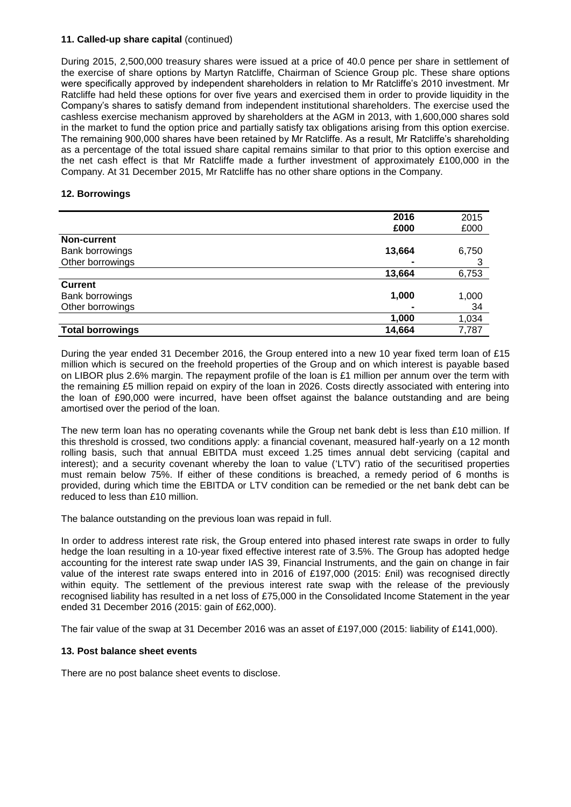#### **11. Called-up share capital** (continued)

During 2015, 2,500,000 treasury shares were issued at a price of 40.0 pence per share in settlement of the exercise of share options by Martyn Ratcliffe, Chairman of Science Group plc. These share options were specifically approved by independent shareholders in relation to Mr Ratcliffe's 2010 investment. Mr Ratcliffe had held these options for over five years and exercised them in order to provide liquidity in the Company's shares to satisfy demand from independent institutional shareholders. The exercise used the cashless exercise mechanism approved by shareholders at the AGM in 2013, with 1,600,000 shares sold in the market to fund the option price and partially satisfy tax obligations arising from this option exercise. The remaining 900,000 shares have been retained by Mr Ratcliffe. As a result, Mr Ratcliffe's shareholding as a percentage of the total issued share capital remains similar to that prior to this option exercise and the net cash effect is that Mr Ratcliffe made a further investment of approximately £100,000 in the Company. At 31 December 2015, Mr Ratcliffe has no other share options in the Company.

#### **12. Borrowings**

|                         | 2016   | 2015  |
|-------------------------|--------|-------|
|                         | £000   | £000  |
| <b>Non-current</b>      |        |       |
| Bank borrowings         | 13,664 | 6,750 |
| Other borrowings        |        |       |
|                         | 13,664 | 6,753 |
| <b>Current</b>          |        |       |
| Bank borrowings         | 1,000  | 1,000 |
| Other borrowings        |        | 34    |
|                         | 1,000  | 1,034 |
| <b>Total borrowings</b> | 14,664 | 7,787 |

During the year ended 31 December 2016, the Group entered into a new 10 year fixed term loan of £15 million which is secured on the freehold properties of the Group and on which interest is payable based on LIBOR plus 2.6% margin. The repayment profile of the loan is £1 million per annum over the term with the remaining £5 million repaid on expiry of the loan in 2026. Costs directly associated with entering into the loan of £90,000 were incurred, have been offset against the balance outstanding and are being amortised over the period of the loan.

The new term loan has no operating covenants while the Group net bank debt is less than £10 million. If this threshold is crossed, two conditions apply: a financial covenant, measured half-yearly on a 12 month rolling basis, such that annual EBITDA must exceed 1.25 times annual debt servicing (capital and interest); and a security covenant whereby the loan to value ('LTV') ratio of the securitised properties must remain below 75%. If either of these conditions is breached, a remedy period of 6 months is provided, during which time the EBITDA or LTV condition can be remedied or the net bank debt can be reduced to less than £10 million.

The balance outstanding on the previous loan was repaid in full.

In order to address interest rate risk, the Group entered into phased interest rate swaps in order to fully hedge the loan resulting in a 10-year fixed effective interest rate of 3.5%. The Group has adopted hedge accounting for the interest rate swap under IAS 39, Financial Instruments, and the gain on change in fair value of the interest rate swaps entered into in 2016 of £197,000 (2015: £nil) was recognised directly within equity. The settlement of the previous interest rate swap with the release of the previously recognised liability has resulted in a net loss of £75,000 in the Consolidated Income Statement in the year ended 31 December 2016 (2015: gain of £62,000).

The fair value of the swap at 31 December 2016 was an asset of £197,000 (2015: liability of £141,000).

#### **13. Post balance sheet events**

There are no post balance sheet events to disclose.